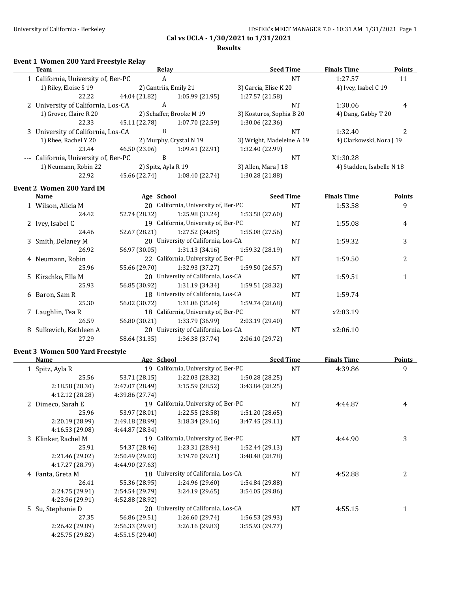$\overline{\phantom{a}}$ 

**Cal vs UCLA - 1/30/2021 to 1/31/2021**

#### **Results**

## **Event 1 Women 200 Yard Freestyle Relay**

| Team                                  | Relay               |                          | <b>Seed Time</b>          | <b>Finals Time</b>        | <b>Points</b> |
|---------------------------------------|---------------------|--------------------------|---------------------------|---------------------------|---------------|
| 1 California, University of, Ber-PC   | A                   |                          | NT                        | 1:27.57                   | 11            |
| 1) Riley, Eloise S 19                 |                     | 2) Gantriis, Emily 21    | 3) Garcia, Elise K 20     | 4) Ivey, Isabel C 19      |               |
| 22.22                                 | 44.04 (21.82)       | 1:05.99(21.95)           | 1:27.57 (21.58)           |                           |               |
| 2 University of California, Los-CA    | A                   |                          | NT                        | 1:30.06                   | 4             |
| 1) Grover, Claire R 20                |                     | 2) Schaffer, Brooke M 19 | 3) Kosturos, Sophia B 20  | 4) Dang, Gabby T 20       |               |
| 22.33                                 | 45.11 (22.78)       | 1:07.70 (22.59)          | 1:30.06 (22.36)           |                           |               |
| 3 University of California, Los-CA    | B                   |                          | NT                        | 1:32.40                   |               |
| 1) Rhee, Rachel Y 20                  |                     | 2) Murphy, Crystal N 19  | 3) Wright, Madeleine A 19 | 4) Clarkowski, Nora J 19  |               |
| 23.44                                 | 46.50 (23.06)       | 1:09.41 (22.91)          | 1:32.40 (22.99)           |                           |               |
| --- California, University of, Ber-PC | B                   |                          | NT                        | X1:30.28                  |               |
| 1) Neumann, Robin 22                  | 2) Spitz, Ayla R 19 |                          | 3) Allen, Mara J 18       | 4) Stadden, Isabelle N 18 |               |
| 22.92                                 | 45.66 (22.74)       | 1:08.40 (22.74)          | 1:30.28 (21.88)           |                           |               |
|                                       |                     |                          |                           |                           |               |

### **Event 2 Women 200 Yard IM**

| Name                    | Age School    |                                      |                 | <b>Seed Time</b> | Finals Time | <b>Points</b> |
|-------------------------|---------------|--------------------------------------|-----------------|------------------|-------------|---------------|
| 1 Wilson, Alicia M      |               | 20 California, University of, Ber-PC |                 | <b>NT</b>        | 1:53.58     | 9             |
| 24.42                   | 52.74 (28.32) | 1:25.98 (33.24)                      | 1:53.58(27.60)  |                  |             |               |
| 2 Ivey, Isabel C        |               | 19 California, University of, Ber-PC |                 | <b>NT</b>        | 1:55.08     | 4             |
| 24.46                   | 52.67 (28.21) | 1:27.52 (34.85)                      | 1:55.08(27.56)  |                  |             |               |
| 3 Smith, Delaney M      |               | 20 University of California, Los-CA  |                 | <b>NT</b>        | 1:59.32     | 3             |
| 26.92                   | 56.97 (30.05) | 1:31.13 (34.16)                      | 1:59.32 (28.19) |                  |             |               |
| 4 Neumann, Robin        |               | 22 California, University of, Ber-PC |                 | <b>NT</b>        | 1:59.50     | 2             |
| 25.96                   | 55.66 (29.70) | 1:32.93 (37.27)                      | 1:59.50 (26.57) |                  |             |               |
| 5 Kirschke, Ella M      |               | 20 University of California, Los-CA  |                 | <b>NT</b>        | 1:59.51     |               |
| 25.93                   | 56.85 (30.92) | 1:31.19 (34.34)                      | 1:59.51 (28.32) |                  |             |               |
| 6 Baron, Sam R          |               | 18 University of California, Los-CA  |                 | <b>NT</b>        | 1:59.74     |               |
| 25.30                   | 56.02 (30.72) | 1:31.06 (35.04)                      | 1:59.74 (28.68) |                  |             |               |
| 7 Laughlin, Tea R       |               | 18 California, University of, Ber-PC |                 | <b>NT</b>        | x2:03.19    |               |
| 26.59                   | 56.80 (30.21) | 1:33.79 (36.99)                      | 2:03.19(29.40)  |                  |             |               |
| 8 Sulkevich, Kathleen A |               | 20 University of California, Los-CA  |                 | <b>NT</b>        | x2:06.10    |               |
| 27.29                   | 58.64 (31.35) | 1:36.38 (37.74)                      | 2:06.10(29.72)  |                  |             |               |

### **Event 3 Women 500 Yard Freestyle**

| Name                | Age School      |                                      | <b>Seed Time</b> |           | <b>Finals Time</b> | <b>Points</b> |
|---------------------|-----------------|--------------------------------------|------------------|-----------|--------------------|---------------|
| 1 Spitz, Ayla R     |                 | 19 California, University of, Ber-PC |                  | <b>NT</b> | 4:39.86            | 9             |
| 25.56               | 53.71 (28.15)   | 1:22.03 (28.32)                      | 1:50.28 (28.25)  |           |                    |               |
| 2:18.58 (28.30)     | 2:47.07 (28.49) | 3:15.59 (28.52)                      | 3:43.84 (28.25)  |           |                    |               |
| 4:12.12 (28.28)     | 4:39.86 (27.74) |                                      |                  |           |                    |               |
| 2 Dimeco, Sarah E   |                 | 19 California, University of, Ber-PC |                  | <b>NT</b> | 4:44.87            | 4             |
| 25.96               | 53.97 (28.01)   | 1:22.55(28.58)                       | 1:51.20(28.65)   |           |                    |               |
| 2:20.19 (28.99)     | 2:49.18 (28.99) | 3:18.34(29.16)                       | 3:47.45(29.11)   |           |                    |               |
| 4:16.53 (29.08)     | 4:44.87 (28.34) |                                      |                  |           |                    |               |
| 3 Klinker, Rachel M |                 | 19 California, University of, Ber-PC |                  | <b>NT</b> | 4:44.90            | 3             |
| 25.91               | 54.37 (28.46)   | 1:23.31 (28.94)                      | 1:52.44(29.13)   |           |                    |               |
| 2:21.46 (29.02)     | 2:50.49 (29.03) | 3:19.70 (29.21)                      | 3:48.48 (28.78)  |           |                    |               |
| 4:17.27 (28.79)     | 4:44.90 (27.63) |                                      |                  |           |                    |               |
| 4 Fanta, Greta M    | 18              | University of California, Los-CA     |                  | <b>NT</b> | 4:52.88            | 2             |
| 26.41               | 55.36 (28.95)   | 1:24.96 (29.60)                      | 1:54.84 (29.88)  |           |                    |               |
| 2:24.75 (29.91)     | 2:54.54 (29.79) | 3:24.19(29.65)                       | 3:54.05(29.86)   |           |                    |               |
| 4:23.96 (29.91)     | 4:52.88 (28.92) |                                      |                  |           |                    |               |
| 5 Su, Stephanie D   | 20              | University of California, Los-CA     |                  | <b>NT</b> | 4:55.15            |               |
| 27.35               | 56.86 (29.51)   | 1:26.60(29.74)                       | 1:56.53(29.93)   |           |                    |               |
| 2:26.42 (29.89)     | 2:56.33 (29.91) | 3:26.16(29.83)                       | 3:55.93 (29.77)  |           |                    |               |
| 4:25.75 (29.82)     | 4:55.15 (29.40) |                                      |                  |           |                    |               |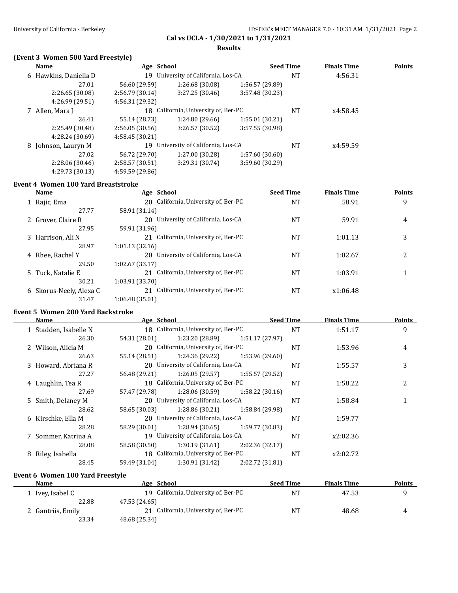### **Results**

## **(Event 3 Women 500 Yard Freestyle)**

| <b>Name</b>           | Age School      |                                      | <b>Seed Time</b> |    | <b>Finals Time</b> | <b>Points</b> |
|-----------------------|-----------------|--------------------------------------|------------------|----|--------------------|---------------|
| 6 Hawkins, Daniella D | 19              | University of California, Los-CA     |                  | NT | 4:56.31            |               |
| 27.01                 | 56.60 (29.59)   | 1:26.68 (30.08)                      | 1:56.57 (29.89)  |    |                    |               |
| 2:26.65(30.08)        | 2:56.79(30.14)  | 3:27.25 (30.46)                      | 3:57.48 (30.23)  |    |                    |               |
| 4:26.99 (29.51)       | 4:56.31 (29.32) |                                      |                  |    |                    |               |
| 7 Allen, Mara J       |                 | 18 California, University of, Ber-PC |                  | NT | x4:58.45           |               |
| 26.41                 | 55.14 (28.73)   | 1:24.80 (29.66)                      | 1:55.01(30.21)   |    |                    |               |
| 2:25.49 (30.48)       | 2:56.05(30.56)  | 3:26.57(30.52)                       | 3:57.55 (30.98)  |    |                    |               |
| 4:28.24 (30.69)       | 4:58.45 (30.21) |                                      |                  |    |                    |               |
| 8 Johnson, Lauryn M   | 19              | University of California, Los-CA     |                  | NT | x4:59.59           |               |
| 27.02                 | 56.72 (29.70)   | 1:27.00 (30.28)                      | 1:57.60(30.60)   |    |                    |               |
| 2:28.06 (30.46)       | 2:58.57(30.51)  | 3:29.31 (30.74)                      | 3:59.60 (30.29)  |    |                    |               |
| 4:29.73 (30.13)       | 4:59.59 (29.86) |                                      |                  |    |                    |               |

#### **Event 4 Women 100 Yard Breaststroke**

|   | Name                  | Age School                           | <b>Seed Time</b> | <b>Finals Time</b> | Points |
|---|-----------------------|--------------------------------------|------------------|--------------------|--------|
|   | 1 Rajic, Ema          | 20 California, University of, Ber-PC | NT               | 58.91              | 9      |
|   | 27.77                 | 58.91 (31.14)                        |                  |                    |        |
|   | 2 Grover, Claire R    | 20 University of California, Los-CA  | NT               | 59.91              | 4      |
|   | 27.95                 | 59.91 (31.96)                        |                  |                    |        |
|   | 3 Harrison, Ali N     | 21 California, University of, Ber-PC | NT               | 1:01.13            | 3      |
|   | 28.97                 | 1:01.13(32.16)                       |                  |                    |        |
|   | 4 Rhee, Rachel Y      | 20 University of California, Los-CA  | NT               | 1:02.67            | 2      |
|   | 29.50                 | 1:02.67(33.17)                       |                  |                    |        |
|   | 5 Tuck, Natalie E     | 21 California, University of, Ber-PC | NT               | 1:03.91            |        |
|   | 30.21                 | 1:03.91 (33.70)                      |                  |                    |        |
| 6 | Skorus-Neely, Alexa C | 21 California, University of, Ber-PC | NT               | x1:06.48           |        |
|   | 31.47                 | 1:06.48 (35.01)                      |                  |                    |        |

### **Event 5 Women 200 Yard Backstroke**

| Name                  | Age School    |                                      |                 | <b>Seed Time</b> | <b>Finals Time</b> | <b>Points</b> |
|-----------------------|---------------|--------------------------------------|-----------------|------------------|--------------------|---------------|
| 1 Stadden, Isabelle N |               | 18 California, University of, Ber-PC |                 | <b>NT</b>        | 1:51.17            | 9             |
| 26.30                 | 54.31 (28.01) | 1:23.20 (28.89)                      | 1:51.17 (27.97) |                  |                    |               |
| 2 Wilson, Alicia M    |               | 20 California, University of, Ber-PC |                 | <b>NT</b>        | 1:53.96            | 4             |
| 26.63                 | 55.14 (28.51) | 1:24.36 (29.22)                      | 1:53.96 (29.60) |                  |                    |               |
| 3 Howard, Abriana R   |               | 20 University of California, Los-CA  |                 | <b>NT</b>        | 1:55.57            | 3             |
| 27.27                 | 56.48 (29.21) | 1:26.05 (29.57)                      | 1:55.57 (29.52) |                  |                    |               |
| 4 Laughlin, Tea R     |               | 18 California, University of, Ber-PC |                 | <b>NT</b>        | 1:58.22            | 2             |
| 27.69                 | 57.47 (29.78) | 1:28.06 (30.59)                      | 1:58.22(30.16)  |                  |                    |               |
| 5 Smith, Delaney M    |               | 20 University of California, Los-CA  |                 | <b>NT</b>        | 1:58.84            |               |
| 28.62                 | 58.65 (30.03) | 1:28.86 (30.21)                      | 1:58.84 (29.98) |                  |                    |               |
| 6 Kirschke, Ella M    |               | 20 University of California, Los-CA  |                 | <b>NT</b>        | 1:59.77            |               |
| 28.28                 | 58.29 (30.01) | 1:28.94 (30.65)                      | 1:59.77 (30.83) |                  |                    |               |
| 7 Sommer, Katrina A   |               | 19 University of California, Los-CA  |                 | <b>NT</b>        | x2:02.36           |               |
| 28.08                 | 58.58 (30.50) | 1:30.19(31.61)                       | 2:02.36(32.17)  |                  |                    |               |
| 8 Riley, Isabella     |               | 18 California, University of, Ber-PC |                 | <b>NT</b>        | x2:02.72           |               |
| 28.45                 | 59.49 (31.04) | 1:30.91 (31.42)                      | 2:02.72 (31.81) |                  |                    |               |

## **Event 6 Women 100 Yard Freestyle**

| Name              | Age School                           | <b>Seed Time</b> | <b>Finals Time</b> | <b>Points</b> |
|-------------------|--------------------------------------|------------------|--------------------|---------------|
| 1 Ivey, Isabel C  | 19 California, University of, Ber-PC | NΊ               | 47.53              |               |
| 22.88             | 47.53 (24.65)                        |                  |                    |               |
| 2 Gantriis, Emily | 21 California, University of, Ber-PC | NΊ               | 48.68              | ᅭ             |
| 23.34             | 48.68 (25.34)                        |                  |                    |               |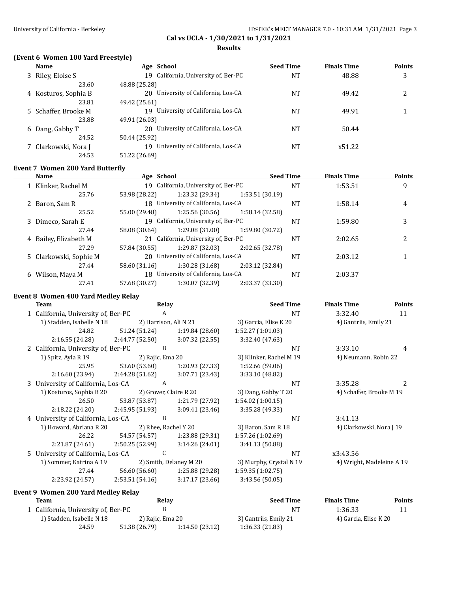# **Cal vs UCLA - 1/30/2021 to 1/31/2021 Results**

## **(Event 6 Women 100 Yard Freestyle)**

| Name                 | Age School                             | <b>Seed Time</b> | <b>Finals Time</b> | <b>Points</b> |
|----------------------|----------------------------------------|------------------|--------------------|---------------|
| 3 Riley, Eloise S    | 19 California, University of, Ber-PC   | NT               | 48.88              | 3             |
| 23.60                | 48.88 (25.28)                          |                  |                    |               |
| 4 Kosturos, Sophia B | 20 University of California, Los-CA    | <b>NT</b>        | 49.42              | າ             |
| 23.81                | 49.42 (25.61)                          |                  |                    |               |
| 5 Schaffer, Brooke M | 19 University of California, Los-CA    | <b>NT</b>        | 49.91              |               |
| 23.88                | 49.91 (26.03)                          |                  |                    |               |
| 6 Dang, Gabby T      | 20 University of California, Los-CA    | NT               | 50.44              |               |
| 24.52                | 50.44 (25.92)                          |                  |                    |               |
| 7 Clarkowski, Nora J | University of California, Los-CA<br>19 | NT               | x51.22             |               |
| 24.53                | 51.22 (26.69)                          |                  |                    |               |

### **Event 7 Women 200 Yard Butterfly**

|   | <b>Name</b>            | Age School    |                                      |                 | <b>Seed Time</b> | <b>Finals Time</b> | <b>Points</b> |
|---|------------------------|---------------|--------------------------------------|-----------------|------------------|--------------------|---------------|
|   | 1 Klinker, Rachel M    |               | 19 California, University of, Ber-PC |                 | <b>NT</b>        | 1:53.51            | 9             |
|   | 25.76                  | 53.98 (28.22) | 1:23.32 (29.34)                      | 1:53.51(30.19)  |                  |                    |               |
|   | 2 Baron, Sam R         |               | 18 University of California, Los-CA  |                 | NT               | 1:58.14            | 4             |
|   | 25.52                  | 55.00 (29.48) | 1:25.56 (30.56)                      | 1:58.14(32.58)  |                  |                    |               |
|   | 3 Dimeco, Sarah E      |               | 19 California, University of, Ber-PC |                 | NT               | 1:59.80            | 3             |
|   | 27.44                  | 58.08 (30.64) | 1:29.08(31.00)                       | 1:59.80 (30.72) |                  |                    |               |
|   | 4 Bailey, Elizabeth M  |               | 21 California, University of, Ber-PC |                 | NT               | 2:02.65            | າ             |
|   | 27.29                  | 57.84 (30.55) | 1:29.87 (32.03)                      | 2:02.65 (32.78) |                  |                    |               |
|   | 5 Clarkowski, Sophie M |               | 20 University of California, Los-CA  |                 | NT               | 2:03.12            |               |
|   | 27.44                  | 58.60 (31.16) | 1:30.28(31.68)                       | 2:03.12 (32.84) |                  |                    |               |
| 6 | Wilson, Maya M         |               | 18 University of California, Los-CA  |                 | <b>NT</b>        | 2:03.37            |               |
|   | 27.41                  | 57.68 (30.27) | 1:30.07 (32.39)                      | 2:03.37 (33.30) |                  |                    |               |

### **Event 8 Women 400 Yard Medley Relay**

| Team                                | Relay            |                        | <b>Seed Time</b>        | <b>Finals Time</b>        | <b>Points</b> |
|-------------------------------------|------------------|------------------------|-------------------------|---------------------------|---------------|
| 1 California, University of, Ber-PC | A                |                        | <b>NT</b>               | 3:32.40                   | 11            |
| 1) Stadden, Isabelle N 18           |                  | 2) Harrison, Ali N 21  | 3) Garcia, Elise K 20   | 4) Gantriis, Emily 21     |               |
| 24.82                               | 51.24 (51.24)    | 1:19.84(28.60)         | 1:52.27 (1:01.03)       |                           |               |
| 2:16.55 (24.28)                     | 2:44.77 (52.50)  | 3:07.32(22.55)         | 3:32.40 (47.63)         |                           |               |
| 2 California, University of, Ber-PC | B                |                        | <b>NT</b>               | 3:33.10                   | 4             |
| 1) Spitz, Ayla R 19                 | 2) Rajic, Ema 20 |                        | 3) Klinker, Rachel M 19 | 4) Neumann, Robin 22      |               |
| 25.95                               | 53.60 (53.60)    | 1:20.93 (27.33)        | 1:52.66 (59.06)         |                           |               |
| 2:16.60 (23.94)                     | 2:44.28 (51.62)  | 3:07.71 (23.43)        | 3:33.10 (48.82)         |                           |               |
| 3 University of California, Los-CA  | A                |                        | <b>NT</b>               | 3:35.28                   |               |
| 1) Kosturos, Sophia B 20            |                  | 2) Grover, Claire R 20 | 3) Dang, Gabby T 20     | 4) Schaffer, Brooke M 19  |               |
| 26.50                               | 53.87 (53.87)    | 1:21.79 (27.92)        | 1:54.02(1:00.15)        |                           |               |
| 2:18.22 (24.20)                     | 2:45.95(51.93)   | 3:09.41(23.46)         | 3:35.28 (49.33)         |                           |               |
| 4 University of California, Los-CA  | B                |                        | <b>NT</b>               | 3:41.13                   |               |
| 1) Howard, Abriana R 20             |                  | 2) Rhee, Rachel Y 20   | 3) Baron, Sam R 18      | 4) Clarkowski, Nora J 19  |               |
| 26.22                               | 54.57 (54.57)    | 1:23.88 (29.31)        | 1:57.26 (1:02.69)       |                           |               |
| 2:21.87 (24.61)                     | 2:50.25(52.99)   | 3:14.26 (24.01)        | 3:41.13 (50.88)         |                           |               |
| 5 University of California, Los-CA  | C                |                        | <b>NT</b>               | x3:43.56                  |               |
| 1) Sommer, Katrina A 19             |                  | 2) Smith, Delaney M 20 | 3) Murphy, Crystal N 19 | 4) Wright, Madeleine A 19 |               |
| 27.44                               | 56.60 (56.60)    | 1:25.88 (29.28)        | 1:59.35 (1:02.75)       |                           |               |
| 2:23.92 (24.57)                     | 2:53.51 (54.16)  | 3:17.17 (23.66)        | 3:43.56 (50.05)         |                           |               |
|                                     |                  |                        |                         |                           |               |

**Event 9 Women 200 Yard Medley Relay**

| Team                              | Relav            |                | <b>Seed Time</b>      | <b>Finals Time</b>    | <b>Points</b> |
|-----------------------------------|------------------|----------------|-----------------------|-----------------------|---------------|
| California, University of, Ber-PC |                  |                | NT                    | 1:36.33               |               |
| 1) Stadden, Isabelle N 18         | 2) Rajic, Ema 20 |                | 3) Gantriis, Emily 21 | 4) Garcia, Elise K 20 |               |
| 24.59                             | 51.38 (26.79)    | 1:14.50(23.12) | 1:36.33(21.83)        |                       |               |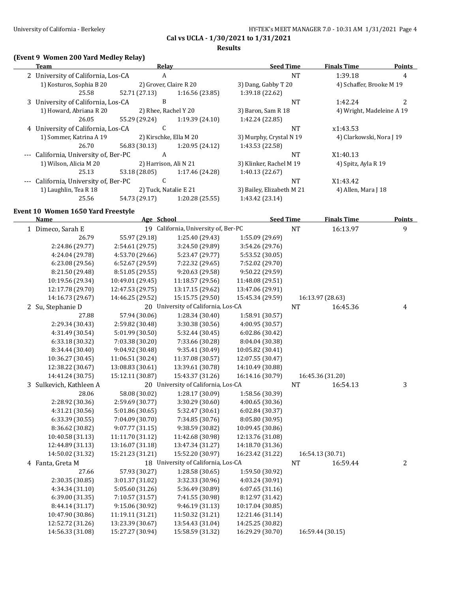#### **Results**

## **(Event 9 Women 200 Yard Medley Relay)**

| (Event 9 Women 200 Yard Medley Relay) |               |                        |                           |                           |        |
|---------------------------------------|---------------|------------------------|---------------------------|---------------------------|--------|
| Team                                  | Relay         |                        | <b>Seed Time</b>          | <b>Finals Time</b>        | Points |
| 2 University of California, Los-CA    | A             |                        | <b>NT</b>                 | 1:39.18                   | 4      |
| 1) Kosturos, Sophia B 20              |               | 2) Grover, Claire R 20 | 3) Dang, Gabby T 20       | 4) Schaffer, Brooke M 19  |        |
| 25.58                                 | 52.71 (27.13) | 1:16.56(23.85)         | 1:39.18 (22.62)           |                           |        |
| 3 University of California, Los-CA    | B             |                        | <b>NT</b>                 | 1:42.24                   |        |
| 1) Howard, Abriana R 20               |               | 2) Rhee, Rachel Y 20   | 3) Baron, Sam R 18        | 4) Wright, Madeleine A 19 |        |
| 26.05                                 | 55.29 (29.24) | 1:19.39(24.10)         | 1:42.24 (22.85)           |                           |        |
| 4 University of California, Los-CA    | C             |                        | <b>NT</b>                 | x1:43.53                  |        |
| 1) Sommer, Katrina A 19               |               | 2) Kirschke, Ella M 20 | 3) Murphy, Crystal N 19   | 4) Clarkowski, Nora J 19  |        |
| 26.70                                 | 56.83 (30.13) | 1:20.95(24.12)         | 1:43.53 (22.58)           |                           |        |
| California, University of, Ber-PC     | A             |                        | <b>NT</b>                 | X1:40.13                  |        |
| 1) Wilson, Alicia M 20                |               | 2) Harrison, Ali N 21  | 3) Klinker, Rachel M 19   | 4) Spitz, Ayla R 19       |        |
| 25.13                                 | 53.18 (28.05) | 1:17.46 (24.28)        | 1:40.13(22.67)            |                           |        |
| --- California, University of, Ber-PC | C             |                        | <b>NT</b>                 | X1:43.42                  |        |
| 1) Laughlin, Tea R 18                 |               | 2) Tuck, Natalie E 21  | 3) Bailey, Elizabeth M 21 | 4) Allen, Mara J 18       |        |
| 25.56                                 | 54.73 (29.17) | 1:20.28 (25.55)        | 1:43.42 (23.14)           |                           |        |

#### **Event 10 Women 1650 Yard Freestyle**

| <b>Name</b>             | Age School       |                                      | <b>Seed Time</b> |           | <b>Finals Time</b> | <b>Points</b>  |
|-------------------------|------------------|--------------------------------------|------------------|-----------|--------------------|----------------|
| 1 Dimeco, Sarah E       |                  | 19 California, University of, Ber-PC |                  | <b>NT</b> | 16:13.97           | 9              |
| 26.79                   | 55.97 (29.18)    | 1:25.40 (29.43)                      | 1:55.09 (29.69)  |           |                    |                |
| 2:24.86 (29.77)         | 2:54.61 (29.75)  | 3:24.50 (29.89)                      | 3:54.26 (29.76)  |           |                    |                |
| 4:24.04 (29.78)         | 4:53.70 (29.66)  | 5:23.47 (29.77)                      | 5:53.52 (30.05)  |           |                    |                |
| 6:23.08 (29.56)         | 6:52.67 (29.59)  | 7:22.32 (29.65)                      | 7:52.02 (29.70)  |           |                    |                |
| 8:21.50 (29.48)         | 8:51.05 (29.55)  | 9:20.63 (29.58)                      | 9:50.22 (29.59)  |           |                    |                |
| 10:19.56 (29.34)        | 10:49.01 (29.45) | 11:18.57 (29.56)                     | 11:48.08 (29.51) |           |                    |                |
| 12:17.78 (29.70)        | 12:47.53 (29.75) | 13:17.15 (29.62)                     | 13:47.06 (29.91) |           |                    |                |
| 14:16.73 (29.67)        | 14:46.25 (29.52) | 15:15.75 (29.50)                     | 15:45.34 (29.59) |           | 16:13.97 (28.63)   |                |
| 2 Su, Stephanie D       |                  | 20 University of California, Los-CA  |                  | NT        | 16:45.36           | $\overline{4}$ |
| 27.88                   | 57.94 (30.06)    | 1:28.34 (30.40)                      | 1:58.91 (30.57)  |           |                    |                |
| 2:29.34 (30.43)         | 2:59.82 (30.48)  | 3:30.38 (30.56)                      | 4:00.95 (30.57)  |           |                    |                |
| 4:31.49 (30.54)         | 5:01.99 (30.50)  | 5:32.44 (30.45)                      | 6:02.86 (30.42)  |           |                    |                |
| 6:33.18 (30.32)         | 7:03.38 (30.20)  | 7:33.66 (30.28)                      | 8:04.04 (30.38)  |           |                    |                |
| 8:34.44 (30.40)         | 9:04.92 (30.48)  | 9:35.41 (30.49)                      | 10:05.82 (30.41) |           |                    |                |
| 10:36.27 (30.45)        | 11:06.51 (30.24) | 11:37.08 (30.57)                     | 12:07.55 (30.47) |           |                    |                |
| 12:38.22 (30.67)        | 13:08.83 (30.61) | 13:39.61 (30.78)                     | 14:10.49 (30.88) |           |                    |                |
| 14:41.24 (30.75)        | 15:12.11 (30.87) | 15:43.37 (31.26)                     | 16:14.16 (30.79) |           | 16:45.36 (31.20)   |                |
| 3 Sulkevich, Kathleen A |                  | 20 University of California, Los-CA  |                  | <b>NT</b> | 16:54.13           | 3              |
| 28.06                   | 58.08 (30.02)    | 1:28.17 (30.09)                      | 1:58.56 (30.39)  |           |                    |                |
| 2:28.92 (30.36)         | 2:59.69 (30.77)  | 3:30.29 (30.60)                      | 4:00.65 (30.36)  |           |                    |                |
| 4:31.21 (30.56)         | 5:01.86 (30.65)  | 5:32.47 (30.61)                      | 6:02.84 (30.37)  |           |                    |                |
| 6:33.39 (30.55)         | 7:04.09 (30.70)  | 7:34.85 (30.76)                      | 8:05.80 (30.95)  |           |                    |                |
| 8:36.62 (30.82)         | 9:07.77 (31.15)  | 9:38.59 (30.82)                      | 10:09.45 (30.86) |           |                    |                |
| 10:40.58 (31.13)        | 11:11.70 (31.12) | 11:42.68 (30.98)                     | 12:13.76 (31.08) |           |                    |                |
| 12:44.89 (31.13)        | 13:16.07 (31.18) | 13:47.34 (31.27)                     | 14:18.70 (31.36) |           |                    |                |
| 14:50.02 (31.32)        | 15:21.23 (31.21) | 15:52.20 (30.97)                     | 16:23.42 (31.22) |           | 16:54.13 (30.71)   |                |
| 4 Fanta, Greta M        |                  | 18 University of California, Los-CA  |                  | <b>NT</b> | 16:59.44           | 2              |
| 27.66                   | 57.93 (30.27)    | 1:28.58 (30.65)                      | 1:59.50 (30.92)  |           |                    |                |
| 2:30.35 (30.85)         | 3:01.37 (31.02)  | 3:32.33 (30.96)                      | 4:03.24 (30.91)  |           |                    |                |
| 4:34.34 (31.10)         | 5:05.60 (31.26)  | 5:36.49 (30.89)                      | 6:07.65(31.16)   |           |                    |                |
| 6:39.00 (31.35)         | 7:10.57 (31.57)  | 7:41.55 (30.98)                      | 8:12.97 (31.42)  |           |                    |                |
| 8:44.14 (31.17)         | 9:15.06 (30.92)  | 9:46.19 (31.13)                      | 10:17.04 (30.85) |           |                    |                |
| 10:47.90 (30.86)        | 11:19.11 (31.21) | 11:50.32 (31.21)                     | 12:21.46 (31.14) |           |                    |                |
| 12:52.72 (31.26)        | 13:23.39 (30.67) | 13:54.43 (31.04)                     | 14:25.25 (30.82) |           |                    |                |
| 14:56.33 (31.08)        | 15:27.27 (30.94) | 15:58.59 (31.32)                     | 16:29.29 (30.70) |           | 16:59.44 (30.15)   |                |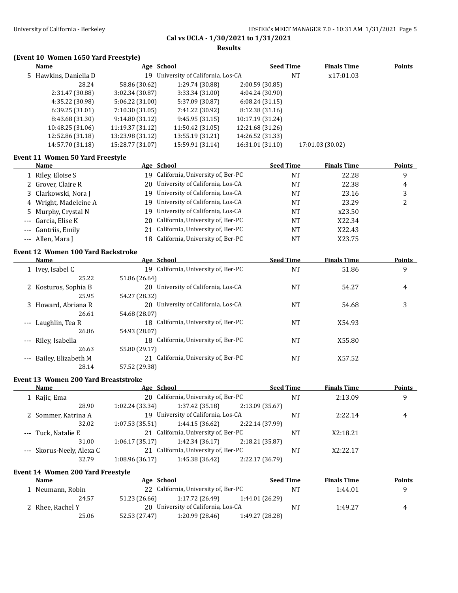**Results**

## **(Event 10 Women 1650 Yard Freestyle)**

| Name                  | Age School       |                                     | <b>Seed Time</b> |    | <b>Finals Time</b> | <b>Points</b> |
|-----------------------|------------------|-------------------------------------|------------------|----|--------------------|---------------|
| 5 Hawkins, Daniella D |                  | 19 University of California, Los-CA |                  | NT | x17:01.03          |               |
| 28.24                 | 58.86 (30.62)    | 1:29.74 (30.88)                     | 2:00.59(30.85)   |    |                    |               |
| 2:31.47 (30.88)       | 3:02.34(30.87)   | 3:33.34(31.00)                      | 4:04.24(30.90)   |    |                    |               |
| 4:35.22 (30.98)       | 5:06.22(31.00)   | 5:37.09 (30.87)                     | 6:08.24(31.15)   |    |                    |               |
| 6:39.25(31.01)        | 7:10.30(31.05)   | 7:41.22 (30.92)                     | 8:12.38 (31.16)  |    |                    |               |
| 8:43.68 (31.30)       | 9:14.80(31.12)   | 9:45.95(31.15)                      | 10:17.19 (31.24) |    |                    |               |
| 10:48.25 (31.06)      | 11:19.37 (31.12) | 11:50.42 (31.05)                    | 12:21.68 (31.26) |    |                    |               |
| 12:52.86 (31.18)      | 13:23.98 (31.12) | 13:55.19 (31.21)                    | 14:26.52 (31.33) |    |                    |               |
| 14:57.70 (31.18)      | 15:28.77 (31.07) | 15:59.91 (31.14)                    | 16:31.01 (31.10) |    | 17:01.03 (30.02)   |               |

### **Event 11 Women 50 Yard Freestyle**

| <b>Name</b>           | Age School                           | <b>Seed Time</b> | <b>Finals Time</b> | Points         |
|-----------------------|--------------------------------------|------------------|--------------------|----------------|
| 1 Riley, Eloise S     | 19 California, University of, Ber-PC | NT               | 22.28              | 9              |
| 2 Grover, Claire R    | 20 University of California, Los-CA  | NT               | 22.38              | $\overline{4}$ |
| 3 Clarkowski, Nora J  | 19 University of California, Los-CA  | NT               | 23.16              | 3              |
| 4 Wright, Madeleine A | 19 University of California, Los-CA  | NT               | 23.29              |                |
| 5 Murphy, Crystal N   | 19 University of California, Los-CA  | NT               | x23.50             |                |
| --- Garcia, Elise K   | 20 California, University of, Ber-PC | NT               | X22.34             |                |
| --- Gantriis, Emily   | 21 California, University of, Ber-PC | NT               | X22.43             |                |
| --- Allen. Mara I     | 18 California, University of, Ber-PC | <b>NT</b>        | X23.75             |                |

#### **Event 12 Women 100 Yard Backstroke**

| Name                         | Age School                             | <b>Seed Time</b> | <b>Finals Time</b> | <b>Points</b> |
|------------------------------|----------------------------------------|------------------|--------------------|---------------|
| 1 Ivey, Isabel C             | 19 California, University of, Ber-PC   | <b>NT</b>        | 51.86              | 9             |
| 25.22                        | 51.86 (26.64)                          |                  |                    |               |
| 2 Kosturos, Sophia B         | University of California, Los-CA<br>20 | NT               | 54.27              | 4             |
| 25.95                        | 54.27 (28.32)                          |                  |                    |               |
| 3 Howard, Abriana R          | University of California, Los-CA<br>20 | <b>NT</b>        | 54.68              | 3             |
| 26.61                        | 54.68 (28.07)                          |                  |                    |               |
| --- Laughlin, Tea R          | 18 California, University of, Ber-PC   | <b>NT</b>        | X54.93             |               |
| 26.86                        | 54.93 (28.07)                          |                  |                    |               |
| --- Riley, Isabella          | 18 California, University of, Ber-PC   | NT               | X55.80             |               |
| 26.63                        | 55.80 (29.17)                          |                  |                    |               |
| Bailey, Elizabeth M<br>$---$ | 21 California, University of, Ber-PC   | NT               | X57.52             |               |
| 28.14                        | 57.52 (29.38)                          |                  |                    |               |

### **Event 13 Women 200 Yard Breaststroke**

| Name                      | Age School      |                                      |                 | <b>Seed Time</b> | <b>Finals Time</b> | <b>Points</b> |
|---------------------------|-----------------|--------------------------------------|-----------------|------------------|--------------------|---------------|
| 1 Rajic, Ema              |                 | 20 California, University of, Ber-PC |                 | <b>NT</b>        | 2:13.09            | 9             |
| 28.90                     | 1:02.24 (33.34) | 1:37.42 (35.18)                      | 2:13.09 (35.67) |                  |                    |               |
| 2 Sommer, Katrina A       |                 | 19 University of California, Los-CA  |                 | NT               | 2:22.14            | 4             |
| 32.02                     | 1:07.53(35.51)  | 1:44.15(36.62)                       | 2:22.14 (37.99) |                  |                    |               |
| --- Tuck. Natalie E       |                 | 21 California, University of, Ber-PC |                 | NT               | X2:18.21           |               |
| 31.00                     | 1:06.17(35.17)  | 1:42.34(36.17)                       | 2:18.21 (35.87) |                  |                    |               |
| --- Skorus-Neely, Alexa C |                 | 21 California, University of, Ber-PC |                 | NT               | X2:22.17           |               |
| 32.79                     | 1:08.96 (36.17) | 1:45.38 (36.42)                      | 2:22.17 (36.79) |                  |                    |               |

#### **Event 14 Women 200 Yard Freestyle**

| Name             | Age School    |                                      | <b>Seed Time</b> |    | <b>Finals Time</b> | <b>Points</b> |
|------------------|---------------|--------------------------------------|------------------|----|--------------------|---------------|
| Neumann, Robin   |               | 22 California, University of, Ber-PC |                  | NT | 1:44.01            |               |
| 24.57            | 51.23 (26.66) | 1:17.72 (26.49)                      | 1:44.01 (26.29)  |    |                    |               |
| 2 Rhee, Rachel Y |               | 20 University of California, Los-CA  |                  | NΤ | 1:49.27            |               |
| 25.06            | 52.53 (27.47) | 1:20.99 (28.46)                      | 1:49.27 (28.28)  |    |                    |               |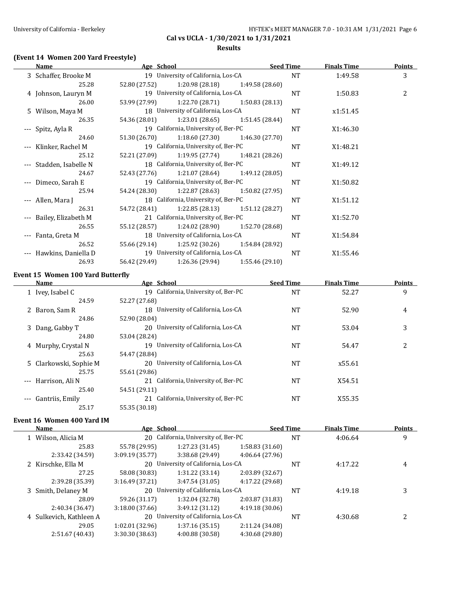### **Results**

## **(Event 14 Women 200 Yard Freestyle)**

| Name                    | Age School    |                                      | <b>Seed Time</b> |           | <b>Finals Time</b> | <b>Points</b> |
|-------------------------|---------------|--------------------------------------|------------------|-----------|--------------------|---------------|
| 3 Schaffer, Brooke M    |               | 19 University of California, Los-CA  |                  | <b>NT</b> | 1:49.58            | 3             |
| 25.28                   | 52.80 (27.52) | 1:20.98 (28.18)                      | 1:49.58 (28.60)  |           |                    |               |
| 4 Johnson, Lauryn M     |               | 19 University of California, Los-CA  |                  | NT        | 1:50.83            | 2             |
| 26.00                   | 53.99 (27.99) | 1:22.70 (28.71)                      | 1:50.83 (28.13)  |           |                    |               |
| 5 Wilson, Maya M        |               | 18 University of California, Los-CA  |                  | NT        | x1:51.45           |               |
| 26.35                   |               | 54.36 (28.01) 1:23.01 (28.65)        | 1:51.45 (28.44)  |           |                    |               |
| --- Spitz, Ayla R       |               | 19 California, University of, Ber-PC |                  | NT        | X1:46.30           |               |
| 24.60                   | 51.30 (26.70) | 1:18.60 (27.30)                      | 1:46.30 (27.70)  |           |                    |               |
| --- Klinker, Rachel M   |               | 19 California, University of, Ber-PC |                  | <b>NT</b> | X1:48.21           |               |
| 25.12                   |               | 52.21 (27.09) 1:19.95 (27.74)        | 1:48.21 (28.26)  |           |                    |               |
| --- Stadden, Isabelle N |               | 18 California, University of, Ber-PC |                  | NT        | X1:49.12           |               |
| 24.67                   |               | 52.43 (27.76) 1:21.07 (28.64)        | 1:49.12 (28.05)  |           |                    |               |
| --- Dimeco, Sarah E     |               | 19 California, University of, Ber-PC |                  | NT        | X1:50.82           |               |
| 25.94                   | 54.24 (28.30) | 1:22.87 (28.63)                      | 1:50.82 (27.95)  |           |                    |               |
| --- Allen, Mara J       |               | 18 California, University of, Ber-PC |                  | <b>NT</b> | X1:51.12           |               |
| 26.31                   |               | 54.72 (28.41) 1:22.85 (28.13)        | 1:51.12 (28.27)  |           |                    |               |
| --- Bailey, Elizabeth M |               | 21 California, University of, Ber-PC |                  | NT        | X1:52.70           |               |
| 26.55                   | 55.12 (28.57) | 1:24.02 (28.90)                      | 1:52.70 (28.68)  |           |                    |               |
| --- Fanta, Greta M      |               | 18 University of California, Los-CA  |                  | NT        | X1:54.84           |               |
| 26.52                   |               | 55.66 (29.14) 1:25.92 (30.26)        | 1:54.84 (28.92)  |           |                    |               |
| Hawkins, Daniella D     |               | 19 University of California, Los-CA  |                  | NT        | X1:55.46           |               |
| 26.93                   | 56.42 (29.49) | 1:26.36 (29.94)                      | 1:55.46(29.10)   |           |                    |               |

#### **Event 15 Women 100 Yard Butterfly**

| Name                   | Age School                              | <b>Seed Time</b> | <b>Finals Time</b> | <b>Points</b> |
|------------------------|-----------------------------------------|------------------|--------------------|---------------|
| 1 Ivey, Isabel C       | 19 California, University of, Ber-PC    | <b>NT</b>        | 52.27              | 9             |
| 24.59                  | 52.27 (27.68)                           |                  |                    |               |
| 2 Baron, Sam R         | 18 University of California, Los-CA     | <b>NT</b>        | 52.90              | 4             |
| 24.86                  | 52.90 (28.04)                           |                  |                    |               |
| 3 Dang, Gabby T        | 20 University of California, Los-CA     | <b>NT</b>        | 53.04              | 3             |
| 24.80                  | 53.04 (28.24)                           |                  |                    |               |
| 4 Murphy, Crystal N    | 19 University of California, Los-CA     | <b>NT</b>        | 54.47              | 2             |
| 25.63                  | 54.47 (28.84)                           |                  |                    |               |
| 5 Clarkowski, Sophie M | 20 University of California, Los-CA     | <b>NT</b>        | x55.61             |               |
| 25.75                  | 55.61 (29.86)                           |                  |                    |               |
| --- Harrison, Ali N    | 21 California, University of, Ber-PC    | <b>NT</b>        | X54.51             |               |
| 25.40                  | 54.51 (29.11)                           |                  |                    |               |
| --- Gantriis, Emily    | California, University of, Ber-PC<br>21 | <b>NT</b>        | X55.35             |               |
| 25.17                  | 55.35 (30.18)                           |                  |                    |               |

## **Event 16 Women 400 Yard IM**

 $\overline{a}$ 

| <b>Name</b>             | Age School      |                                      |                 | <b>Seed Time</b> | <b>Finals Time</b> | <b>Points</b> |
|-------------------------|-----------------|--------------------------------------|-----------------|------------------|--------------------|---------------|
| 1 Wilson, Alicia M      |                 | 20 California, University of, Ber-PC |                 | NT               | 4:06.64            | 9             |
| 25.83                   | 55.78 (29.95)   | 1:27.23(31.45)                       | 1:58.83(31.60)  |                  |                    |               |
| 2:33.42 (34.59)         | 3:09.19(35.77)  | 3:38.68(29.49)                       | 4:06.64(27.96)  |                  |                    |               |
| 2 Kirschke, Ella M      |                 | 20 University of California, Los-CA  |                 | NT               | 4:17.22            | 4             |
| 27.25                   | 58.08 (30.83)   | 1:31.22(33.14)                       | 2:03.89 (32.67) |                  |                    |               |
| 2:39.28 (35.39)         | 3:16.49(37.21)  | 3:47.54(31.05)                       | 4:17.22 (29.68) |                  |                    |               |
| 3 Smith, Delaney M      |                 | 20 University of California, Los-CA  |                 | NT               | 4:19.18            | 3             |
| 28.09                   | 59.26 (31.17)   | 1:32.04 (32.78)                      | 2:03.87 (31.83) |                  |                    |               |
| 2:40.34 (36.47)         | 3:18.00(37.66)  | 3:49.12(31.12)                       | 4:19.18(30.06)  |                  |                    |               |
| 4 Sulkevich, Kathleen A |                 | 20 University of California, Los-CA  |                 | NT               | 4:30.68            | າ             |
| 29.05                   | 1:02.01(32.96)  | 1:37.16(35.15)                       | 2:11.24 (34.08) |                  |                    |               |
| 2:51.67 (40.43)         | 3:30.30 (38.63) | 4:00.88 (30.58)                      | 4:30.68 (29.80) |                  |                    |               |